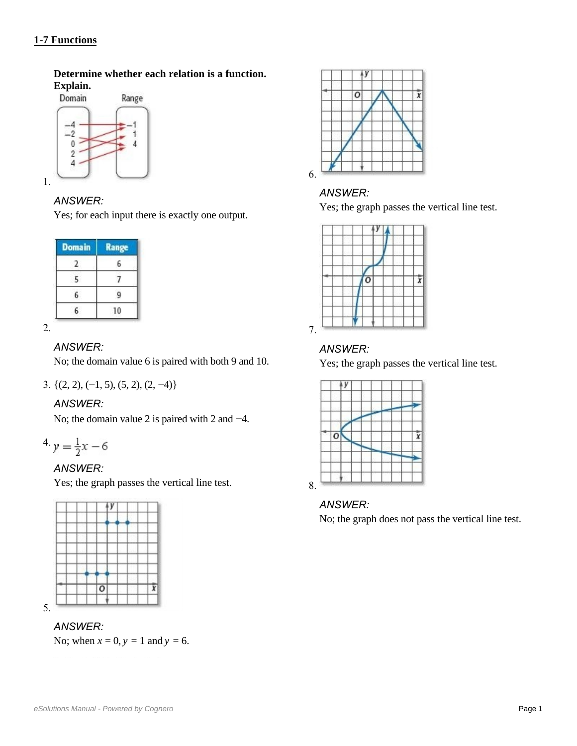# **1-7 Functions**

**Determine whether each relation is a function. Explain.**



# *ANSWER:*

Yes; for each input there is exactly one output.

| <b>Domain</b> | Range |
|---------------|-------|
|               |       |
|               |       |
|               |       |
|               |       |

2.

# *ANSWER:*

No; the domain value 6 is paired with both 9 and 10.

3. {(2, 2), (−1, 5), (5, 2), (2, −4)}

# *ANSWER:*

No; the domain value 2 is paired with 2 and  $-4$ .

$$
4. y = \frac{1}{2}x - 6
$$

# *ANSWER:*

Yes; the graph passes the vertical line test.



# *ANSWER:*

No; when  $x = 0$ ,  $y = 1$  and  $y = 6$ .



# *ANSWER:*

Yes; the graph passes the vertical line test.



# *ANSWER:*

Yes; the graph passes the vertical line test.



# *ANSWER:*

No; the graph does not pass the vertical line test.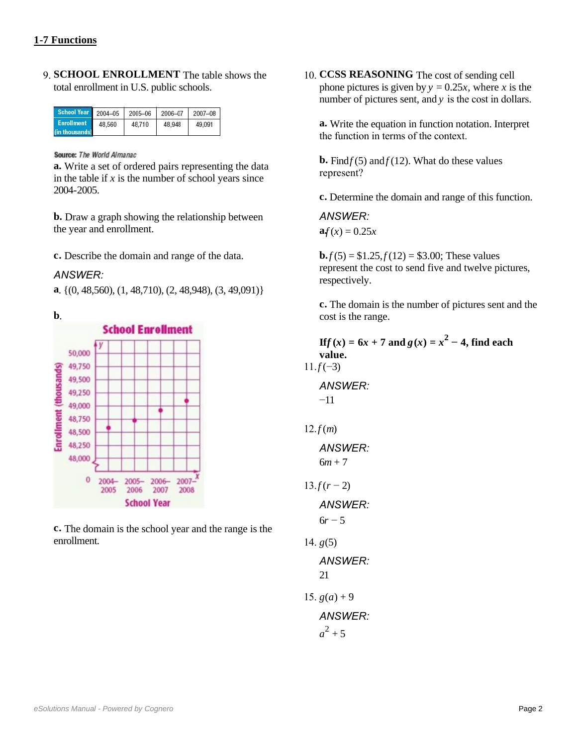9. **SCHOOL ENROLLMENT** The table shows the total enrollment in U.S. public schools.

| School Year 2004-05                 |        | 2005-06 | 2006-07 | 2007-08 |
|-------------------------------------|--------|---------|---------|---------|
| <b>Enrollment</b><br>(in thousands) | 48.560 | 48,710  | 48.948  | 49.091  |

Source: The World Almanac

**a.** Write a set of ordered pairs representing the data in the table if  $x$  is the number of school years since 2004-2005.

**b.** Draw a graph showing the relationship between the year and enrollment.

**c.** Describe the domain and range of the data.

#### *ANSWER:*

**a**. {(0, 48,560), (1, 48,710), (2, 48,948), (3, 49,091)}



**c.** The domain is the school year and the range is the enrollment.

10. **CCSS REASONING** The cost of sending cell phone pictures is given by  $y = 0.25x$ , where *x* is the number of pictures sent, and *y* is the cost in dollars.

**a.** Write the equation in function notation. Interpret the function in terms of the context.

**b.** Find  $f(5)$  and  $f(12)$ . What do these values represent?

**c.** Determine the domain and range of this function.

*ANSWER:*   $a f(x) = 0.25x$ 

**b.***f*(5) = \$1.25, *f*(12) = \$3.00; These values represent the cost to send five and twelve pictures, respectively.

**c.** The domain is the number of pictures sent and the cost is the range.

**If**  $f(x) = 6x + 7$  and  $g(x) = x^2 - 4$ , find each **value.**  $11.f(-3)$ *ANSWER:*  −11

$$
12.f(m)
$$

$$
ANSWER: 6m + 7
$$

 $13. f(r - 2)$ 

*ANSWER:* 

 $6r - 5$ 

14.  $g(5)$ *ANSWER:*  21 15.  $g(a) + 9$ 

*ANSWER:* 

 $a^2 + 5$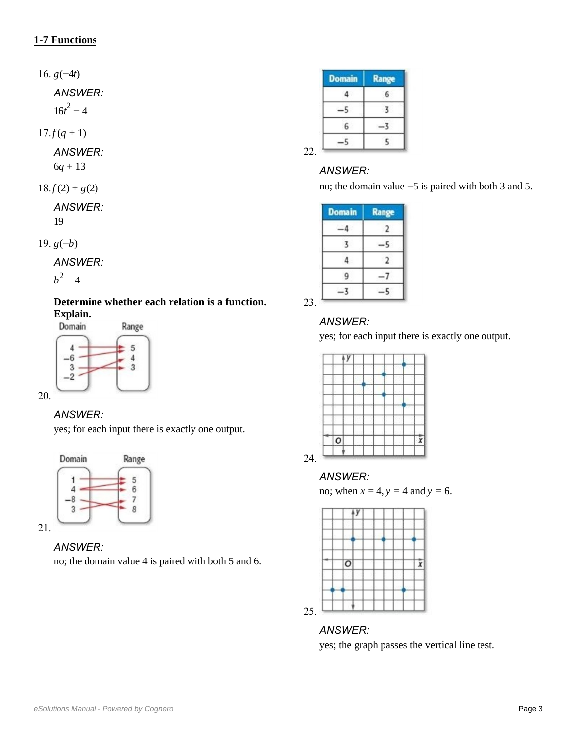16. *g*(−4*t*)

*ANSWER:* 

 $16t^2 - 4$ 

 $17. f(q + 1)$ 

*ANSWER:* 

6*q* + 13

$$
18.f(2) + g(2)
$$

*ANSWER:*  19

19. *g*(−*b*)

*ANSWER:* 

 $b^2 - 4$ 

**Determine whether each relation is a function. Explain.**



20.

### *ANSWER:*

yes; for each input there is exactly one output.





no; the domain value 4 is paired with both 5 and 6.

| <b>Domain</b> | Range |
|---------------|-------|
|               |       |
|               |       |
|               |       |
|               |       |

## *ANSWER:*

no; the domain value −5 is paired with both 3 and 5.

| <b>Domain</b> | <b>Range</b> |
|---------------|--------------|
|               |              |
|               |              |
|               |              |
|               |              |
|               |              |

### *ANSWER:*

yes; for each input there is exactly one output.



#### *ANSWER:*

no; when  $x = 4$ ,  $y = 4$  and  $y = 6$ .



#### *ANSWER:*

yes; the graph passes the vertical line test.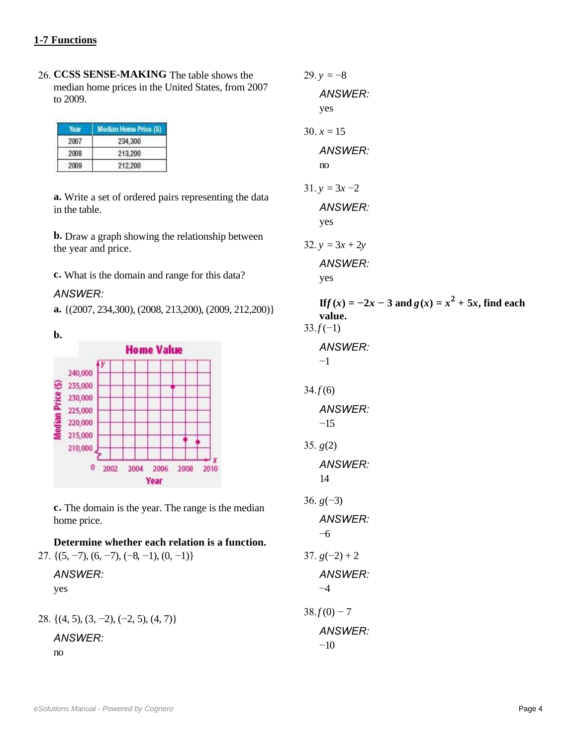26. **CCSS SENSE-MAKING** The table shows the median home prices in the United States, from 2007 to 2009.

| Year | Median Home Price (S) |
|------|-----------------------|
| 2007 | 234,300               |
| 2008 | 213,200               |
| 2009 | 212,200               |

**a.** Write a set of ordered pairs representing the data in the table.

**b.** Draw a graph showing the relationship between the year and price.

**c.** What is the domain and range for this data?

#### *ANSWER:*

**a.** {(2007, 234,300), (2008, 213,200), (2009, 212,200)}



**c.** The domain is the year. The range is the median home price.

# **Determine whether each relation is a function.**

27.  $\{(5, -7), (6, -7), (-8, -1), (0, -1)\}$ 

*ANSWER:*  yes

28. {(4, 5), (3, −2), (−2, 5), (4, 7)}

*ANSWER:*  no

*ANSWER:*  yes 30.  $x = 15$ *ANSWER:*  no  $31. v = 3x - 2$ *ANSWER:*  yes 32. *y* = 3*x* + 2*y ANSWER:*  yes **If**  $f(x) = -2x - 3$  and  $g(x) = x^2 + 5x$ , find each **value.**  $33.f(-1)$ *ANSWER:*  −1  $34. f(6)$ *ANSWER:*   $-15$ 35. *g*(2) *ANSWER:*  14 36. *g*(−3) *ANSWER:*  −6 37.  $g(-2) + 2$ *ANSWER:*  −4  $38. f(0) - 7$ *ANSWER:*   $-10$ 

29.  $v = -8$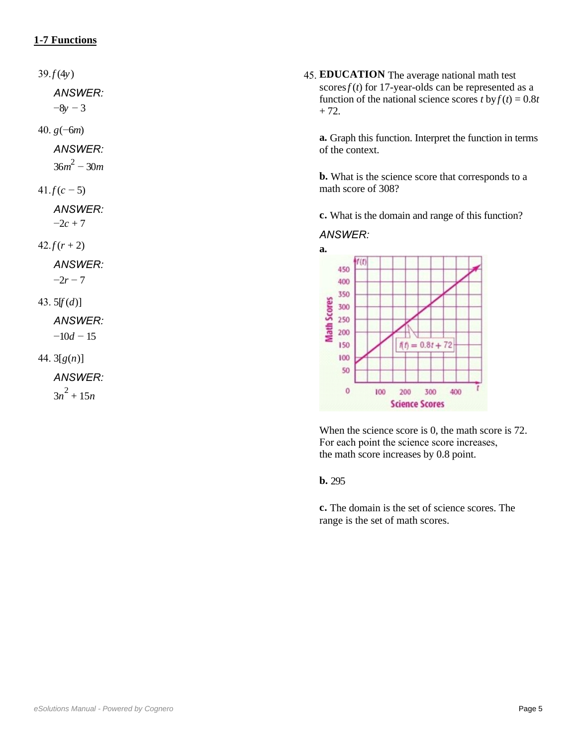$39. f(4y)$ 

*ANSWER:* 

−8*y* − 3

40. *g*(−6*m*)

*ANSWER:* 

36*m* <sup>2</sup> − 30*m*

 $41.f(c-5)$ 

*ANSWER:* 

 $-2c + 7$ 

 $42. f(r + 2)$ 

*ANSWER:* 

 $-2r - 7$ 

43.  $5[f(d)]$ 

*ANSWER:*   $-10d - 15$ 

44. 3[*g*(*n*)]

*ANSWER:* 

 $3n^2 + 15n$ 

45. **EDUCATION** The average national math test scores  $f(t)$  for 17-year-olds can be represented as a function of the national science scores *t* by  $f(t) = 0.8t$  $+ 72.$ 

**a.** Graph this function. Interpret the function in terms of the context.

**b.** What is the science score that corresponds to a math score of 308?

**c.** What is the domain and range of this function?

#### *ANSWER:*



When the science score is 0, the math score is 72. For each point the science score increases, the math score increases by 0.8 point.

**b.** 295

**c.** The domain is the set of science scores. The range is the set of math scores.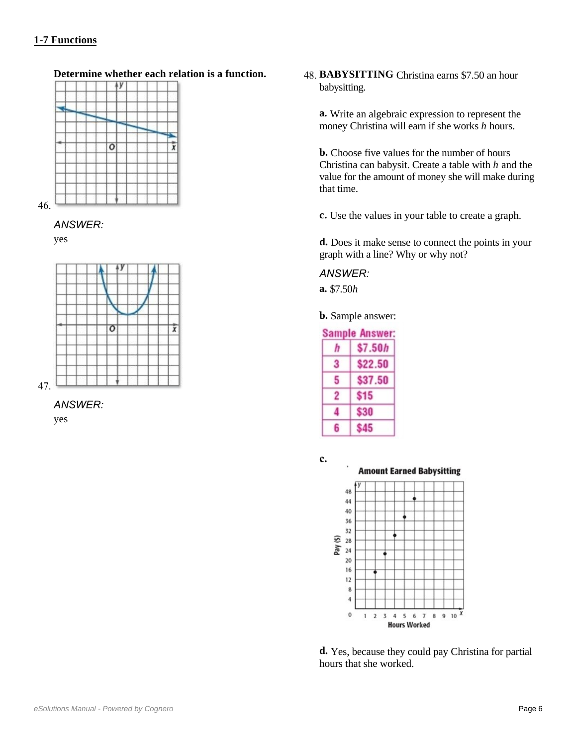## **c.** The domain is the set of science schedule schedule schedule schedule schedule schedule schedule schedule schedule

# **Determine whether each relation is a function.**



46.

#### *ANSWER:*

yes



47.

*ANSWER:* 

yes

48. **BABYSITTING** Christina earns \$7.50 an hour babysitting.

**a.** Write an algebraic expression to represent the money Christina will earn if she works *h* hours.

**b.** Choose five values for the number of hours Christina can babysit. Create a table with *h* and the value for the amount of money she will make during that time.

**c.** Use the values in your table to create a graph.

**d.** Does it make sense to connect the points in your graph with a line? Why or why not?

#### *ANSWER:*

**a.** \$7.50*h*

**b.** Sample answer:

| <b>Sample Answer:</b> |             |  |
|-----------------------|-------------|--|
| h                     | \$7.50h     |  |
| 3                     | \$22.50     |  |
| 5                     | \$37.50     |  |
| 2                     | \$15        |  |
| 4                     | <b>\$30</b> |  |
| 6                     | S45         |  |



**d.** Yes, because they could pay Christina for partial hours that she worked.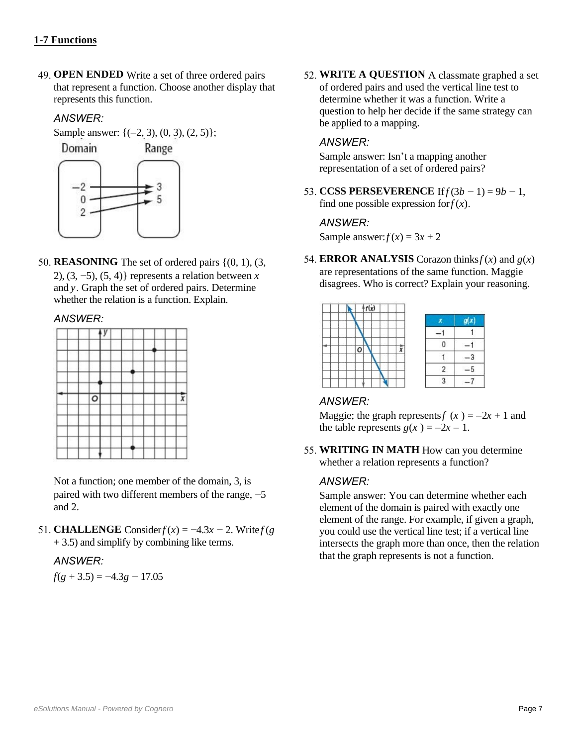## **d. Functions** *d.* **<b>***d.* **<b>***d. d. d. d. d. d. d. d. d. d. d. d. d. d. d. d. d. d. d. d. d. d. d. d. d. d. d. d.*

49. **OPEN ENDED** Write a set of three ordered pairs that represent a function. Choose another display that represents this function.

## *ANSWER:*

Sample answer:  $\{(-2, 3), (0, 3), (2, 5)\};$ 



50. **REASONING** The set of ordered pairs  $\{(0, 1), (3, 1)\}$ 2), (3, −5), (5, 4)} represents a relation between *x* and *y*. Graph the set of ordered pairs. Determine whether the relation is a function. Explain.

### *ANSWER:*

|  | $\overline{\circ}$ |  |  |  | 6 |
|--|--------------------|--|--|--|---|
|  |                    |  |  |  |   |
|  |                    |  |  |  |   |
|  |                    |  |  |  |   |
|  |                    |  |  |  |   |

Not a function; one member of the domain, 3, is paired with two different members of the range,  $-5$ and 2.

51. **CHALLENGE** Consider  $f(x) = -4.3x - 2$ . Write  $f(g)$ + 3.5) and simplify by combining like terms.

### *ANSWER:*

*f*(*g* + 3.5) = −4.3*g* − 17.05

52. **WRITE A QUESTION** A classmate graphed a set of ordered pairs and used the vertical line test to determine whether it was a function. Write a question to help her decide if the same strategy can be applied to a mapping.

## *ANSWER:*

Sample answer: Isn't a mapping another representation of a set of ordered pairs?

53. **CCSS PERSEVERENCE** If  $f(3b − 1) = 9b − 1$ , find one possible expression for  $f(x)$ .

#### *ANSWER:*

Sample answer:  $f(x) = 3x + 2$ 

54. **ERROR ANALYSIS** Corazon thinks  $f(x)$  and  $g(x)$ are representations of the same function. Maggie disagrees. Who is correct? Explain your reasoning.



# *ANSWER:*

Maggie; the graph represents  $f(x) = -2x + 1$  and the table represents  $g(x) = -2x - 1$ .

55. **WRITING IN MATH** How can you determine whether a relation represents a function?

### *ANSWER:*

Sample answer: You can determine whether each element of the domain is paired with exactly one element of the range. For example, if given a graph, you could use the vertical line test; if a vertical line intersects the graph more than once, then the relation that the graph represents is not a function.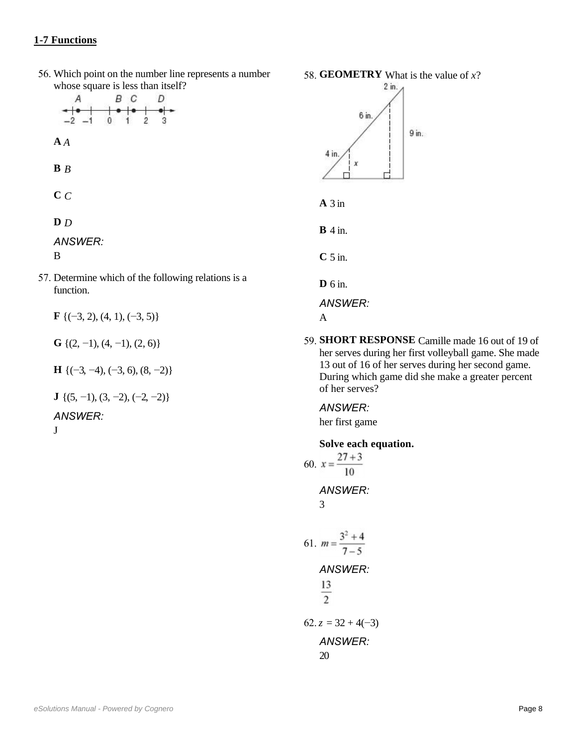## **intersects** the graph more than one only the relations of  $\mathbf{r}$

56. Which point on the number line represents a number whose square is less than itself?

|                  | В | C |   |  |
|------------------|---|---|---|--|
|                  |   | 2 | 3 |  |
| A                |   |   |   |  |
| $\mathbf{B}$ $B$ |   |   |   |  |
| C C              |   |   |   |  |
| D D              |   |   |   |  |

*ANSWER:* 

B

57. Determine which of the following relations is a function.

**F** {(−3, 2), (4, 1), (−3, 5)}

**G** { $(2, -1)$ ,  $(4, -1)$ ,  $(2, 6)$ }

**H** {(−3, −4), (−3, 6), (8, −2)}

**J** { $(5, -1)$ ,  $(3, -2)$ ,  $(-2, -2)$ }

*ANSWER:* 

J





**B** 4 in.

**C** 5 in.

**D** 6 in.

*ANSWER:* 

A

59. **SHORT RESPONSE** Camille made 16 out of 19 of her serves during her first volleyball game. She made 13 out of 16 of her serves during her second game. During which game did she make a greater percent of her serves?

*ANSWER:*  her first game

# **Solve each equation.**

60. 
$$
x = \frac{27 + 3}{10}
$$
  
\n*ANSWER:*  
\n3  
\n61.  $m = \frac{3^2 + 4}{7 - 5}$   
\n*ANSWER:*  
\n $\frac{13}{2}$   
\n62.  $z = 32 + 4(-3)$   
\n*ANSWER:*  
\n20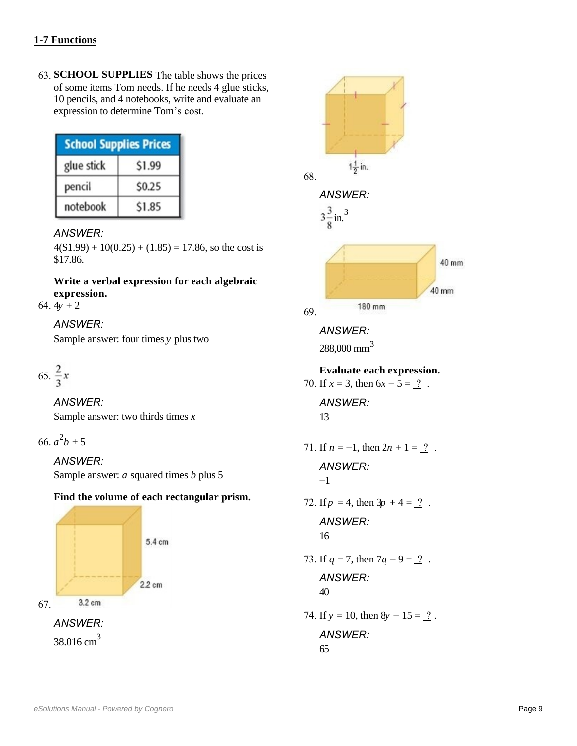63. **SCHOOL SUPPLIES** The table shows the prices of some items Tom needs. If he needs 4 glue sticks, 10 pencils, and 4 notebooks, write and evaluate an expression to determine Tom's cost.

| <b>School Supplies Prices</b> |        |  |
|-------------------------------|--------|--|
| glue stick                    | \$1.99 |  |
| pencil                        | \$0.25 |  |
| notebook                      | \$1.85 |  |

#### *ANSWER:*

 $4(\$1.99) + 10(0.25) + (1.85) = 17.86$ , so the cost is \$17.86.

**Write a verbal expression for each algebraic expression.**

64.  $4y + 2$ 

## *ANSWER:*

Sample answer: four times *y* plus two

65. 
$$
\frac{2}{3}x
$$

*ANSWER:*  Sample answer: two thirds times *x*

66.  $a^2b + 5$ 

# *ANSWER:*

Sample answer: *a* squared times *b* plus 5

### **Find the volume of each rectangular prism.**





65